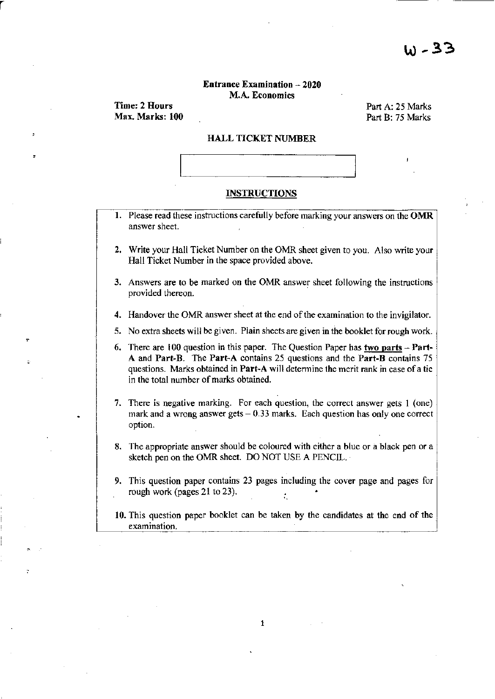### Entrance Examination - 2020 M.A. Economics

Time: 2 Hours Max. Marks: 100

r

Part A: 25 Marks Part B: 75 Marks

#### HALL TICKET NUMBER



### **INSTRUCTIONS**

- 1. Please read these instructions carefully before marking your answers on the OMR answer sheet.
- 2. Write your Hall Ticket Number on the OMR sheet given to you. Also write your Hall Ticket Number in the space provided above.
- 3. Answers are to be marked on the OMR answer sheet following the instructions provided thereon.
- 4. Handover the OMR answer sheet at the end of the examination to the invigilator.
- 5. No extra sheets will be given. Plain sheets are given in the booklet for rough work.
- 6. There are 100 question in this paper. The Question Paper has two parts  $-$  Part-A and Part-B. The Part-A contains 25 questions and the Part-B contains 7S questions. Marks obtained in Part-A will determine the merit rank in case of a tie in the total number of marks obtained.
- 7. There is negative marking. For each question, the correct answer gets 1 (one) mark and a wrong answer gets  $-0.33$  marks. Each question has only one correct option.
- 8. The appropriate answer should be coloured with either a blue or a black pen or a sketch pen on the OMR sheet. DO NOT USE A PENCIL.
- 9. This question paper contains 23 pages including the cover page and pages for rough work (pages 21 to 23).
- 10. This question paper booklet can be taken by the candidates at the end of the examination.

1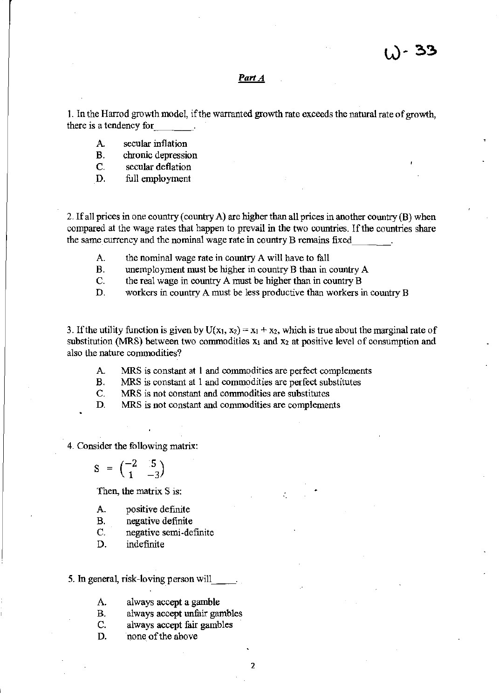# *Part A*

1. In the Harrod growth model, if the warranted growth rate exceeds the natural rate of growth, there is a tendency for \_\_\_ \_

- A secular inflation
- B. chronic depression
- C. secular deflation
- D. full employment

2. If all prices in one country (country A) are higher than all prices in another country (B) when compared at the wage rates that happen to prevail in the two countries. If the countries share the same currency and the nominal wage rate in country B remains fixed

- A. the nominal wage rate in country A will have to fall
- B. unemployment must be higher in country B than in country A
- C. the real wage in country A must be higher than in country B
- D. workers in country A must be less productive than workers in country B

3. If the utility function is given by  $U(x_1, x_2) = x_1 + x_2$ , which is true about the marginal rate of substitution (MRS) between two commodities  $x_1$  and  $x_2$  at positive level of consumption and also the nature commodities?

- A. "MRS is constant at 1 and commodities are perfect complements
- B. MRS is constant at 1 and commodities are perfect substitutes
- C. MRS is not constant and commodities are substitutes
- D. MRS is not constant and commodities are complements

4. Consider the following matrix:

$$
S = \begin{pmatrix} -2 & 0.5 \\ 1 & -3 \end{pmatrix}
$$

Then, the matrix S is:

- A. positive definite
- B. negative definite
- C. negative semi~definite
- D. indefinite
- 5. In general, risk-loving person will
	- A. always accept a gamble
	- B. always accept unfair gambles
	- C. always accept fair gambles
	- D. none of the above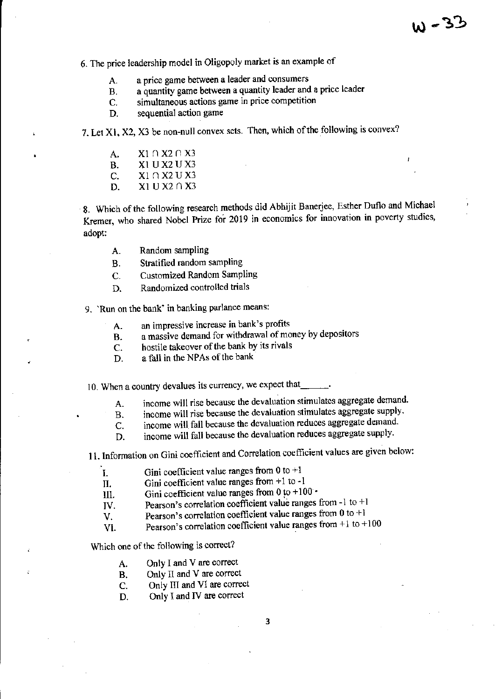6. The price leadership model in Oligopoly market is an example of

- A. a price game between a leader and consumers
- B. a quantity game between a quantity leader and a price leader
- C. simultaneous actions game in price competition
- D. sequential action game

7. Let Xl, X2, X3 be non-null convex sets. Then, which of the following is convex?

- A.  $X1 \cap X2 \cap X3$
- B. Xl UX2 UX3
- C.  $X1 \cap X2 \cup X3$
- D.  $X1 \text{ U} X2 \cap X3$

8. Which of the following research methods did Abhijit Banerjee, Esther Duflo and Michael Kremer, who shared Nobel Prize for 2019 in economics for innovation in poverty studies, adopt:

- A. Random sampling
- B. Stratified random sampling
- C. Customized Random Sampling
- D. Randomized controlled trials

9. 'Run on the bank' in banking parlance means:

- A. an impressive increase in bank's profits
- B. a massive demand for withdrawal of money by depositors
- C. hostile takeover of the bank by its rivals
- D. a fall in the NPAs of the bank

10. When a country devalues its currency, we expect that

- A. income will rise because the devaluation stimulates aggregate demand.
- B. income will rise because the devaluation stimulates aggregate supply.
- C. income will fall because the devaluation reduces aggregate demand.
- D. income will fall because the devaluation reduces aggregate supply.

11. Information on Gini coefficient and Correlation coefficient values are given below:

- I. Gini coefficient value ranges from 0 to +1
- II. Gini coefficient value ranges from +1 to -1

III. Gini coefficient value ranges from  $0$  to  $+100$   $\cdot$ 

- $\overline{IV}$ . Pearson's correlation coefficient value ranges from -1 to +1
- $V.$  Pearson's correlation coefficient value ranges from 0 to +1
- VI. Pearson's correlation coefficient value ranges from  $+1$  to  $+100$

Which one of the following is correct?

- A. Only I and V are correct
- B. Only II and V are correct
- C. Only III and VI are correct
- D. Only I and IV are correct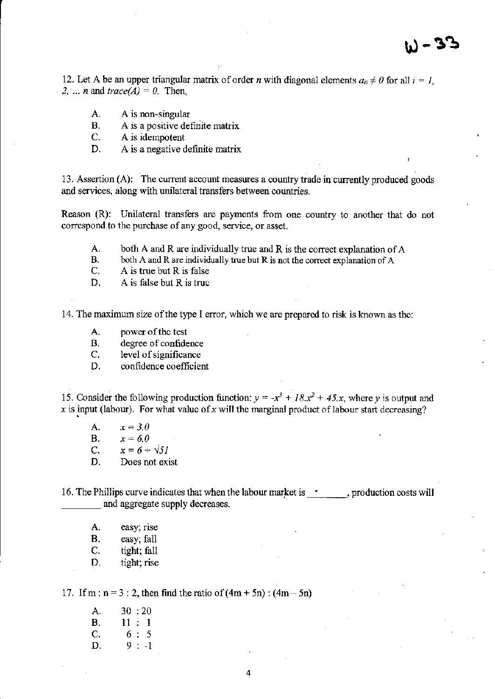12. Let A be an upper triangular matrix of order *n* with diagonal elements  $a_{ii} \neq 0$  for all  $i = 1$ , 2. ... *n* and  $trace(A) = 0$ . Then,

- A. A is non~singular
- B. A is a positive definite matrix
- C. A is idempotent
- D. A is a negative definite matrix

13. Assertion (A): The current account measures a country trade in currently produced goods and services, along with unilateral transfers between countries.

Reason (R): Unilateral transfers are payments from one country to another that do not correspond to the purchase of any good, service, or asset.

- A. both A and R are individually true and R is the correct explanation of A  $B_n$  both A and R are individually true but R is not the correct explanation of A
- both  $A$  and  $R$  are individually true but  $R$  is not the correct explanation of  $A$
- C. A is true but R is false
- D. A is false but R is truc

14. The maximum size ofthe type I error, which we arc prepared to risk is known as the:

- A. power of the test
- B. degree of confidence
- C. level of significance
- D. confidence coefficient

15. Consider the following production function:  $y = -x^3 + 18x^2 + 45x$ , where *y* is output and  $\bar{x}$  is input (labour). For what value of  $\bar{x}$  will the marginal product of labour start decreasing?

- A.  $x = 3.0$
- **B.**  $x = 6.0$

C.  $x = 6 + \sqrt{51}$ 

D. Does not exist

16. The Phillips curve indicates that when the labour market is  $\cdot$ , production costs will and aggregate supply decreases.

- A. easy; rise
- B. easy; fall
- C. tight; fall
- D. tight; rise

17. If m :  $n = 3: 2$ , then find the ratio of  $(4m + 5n)$ :  $(4m - 5n)$ 

A. 30: 20  $B. 11 : 1$  $C. 6: 5$ D.  $9: -1$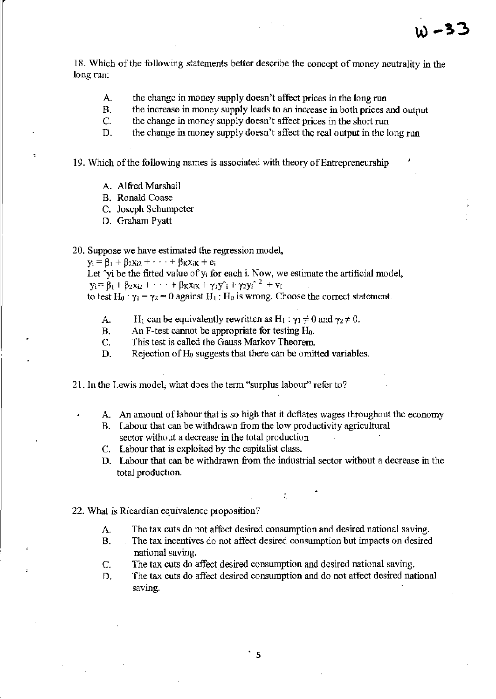18. Which of the following statements better describe the concept of money neutrality in the long run:

- A. the change in money supply doesn't affect prices in the long run
- B. the increase in money supply leads to an increase in both prices and output
- C. the change in money supply doesn't affect prices in the short run
- D. the change in money supply doesn't affect the real output in the long run

19. Which of the following names is associated with theory of Entrepreneurship

- A. Alfred Marshall
- B. Ronald Coase
- c. Joseph Schumpeter
- D. Graham Pyatt

20. Suppose we have estimated the regression model,

 $y_i = \beta_1 + \beta_2 x_{i2} + \cdots + \beta_K x_{iK} + e_i$ 

Let  $\gamma$ yi be the fitted value of  $y_i$  for each i. Now, we estimate the artificial model,  $y_i = \beta_1 + \beta_2 x_{i2} + \cdots + \beta_K x_{iK} + \gamma_1 y_i + \gamma_2 y_i^2 + v_i$ 

to test H<sub>0</sub> :  $\gamma_1 = \gamma_2 = 0$  against H<sub>1</sub> : H<sub>0</sub> is wrong. Choose the correct statement.

- A. H<sub>1</sub> can be equivalently rewritten as  $H_1 : \gamma_1 \neq 0$  and  $\gamma_2 \neq 0$ .
- B. An F-test cannot be appropriate for testing  $H_0$ .
- C. This test is called the Gauss Markov Theorem.
- D. Rejection of  $H_0$  suggests that there can be omitted variables.
- 21. In the Lewis model, what does the term "surplus labour" refer to?
	- A. An amount of labour that is so high that it deflates wages throughout the economy
	- B. Labour that can be withdrawn from the low productivity agricultural sector without a decrease in the total production
	- c. Labour that is exploited by the capitalist class.
	- D. Labour that can be withdrawn from the industrial sector without a decrease in the total production.

.

- 22. What is Ricardian equivalence proposition?
	- A. The tax cuts do not affect desired consumption and desired national saving.
	- B. The tax incentives do not affect desired consumption but impacts on desired national saving.
	- C. The tax cuts do affect desired consumption and desired national saving.
	- D. The tax cuts do affect desired consumption and do not affect desired national saving.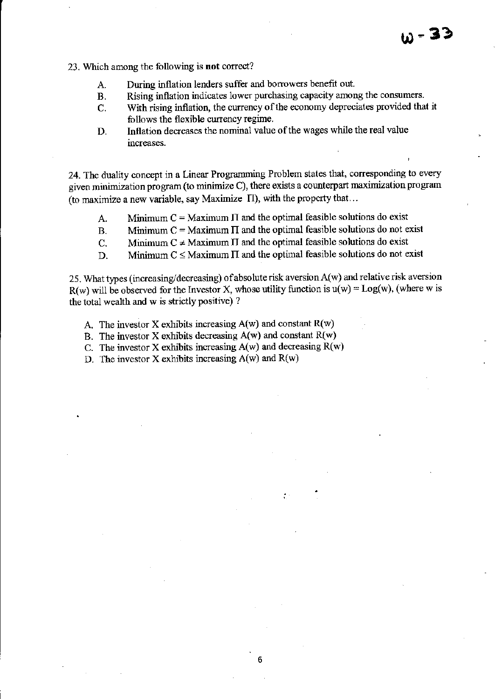- 23, \Vhich among the following is **not** correct?
	- A. During inflation lenders suffer and borrowers benefit out.
	- B, Rising inflation indicates lower purchasing capacity among the consumers.
	- C. With rising inflation, the currency of the economy depreciates provided that it follows the flexible currency regime.
	- D. Inflation decreases the nominal value of the wages while the real value increases.

24. The duality concept in a Linear Programming Problem states that, corresponding to every given minimization program (to minimize C), there exists a counterpart maximization program (to maximize a new variable, say Maximize  $\Pi$ ), with the property that...

- A. Minimum  $C =$  Maximum  $\Pi$  and the optimal feasible solutions do exist
- B. Minimum  $C =$  Maximum  $\Pi$  and the optimal feasible solutions do not exist
- C. Minimum  $C \neq$  Maximum II and the optimal feasible solutions do exist
- D. Minimum  $C \leq$  Maximum IT and the optimal feasible solutions do not exist

25. What types (increasing/decreasing) of absolute risk aversion A(w) and relative risk aversion R(w) will be observed for the Investor X, whose utility function is  $u(w) = Log(w)$ , (where w is the total wealth and w is strictly positive) ?

6

- A. The investor X exhibits increasing  $A(w)$  and constant  $R(w)$
- B. The investor X exhibits decreasing  $A(w)$  and constant  $R(w)$
- C. The investor X exhibits increasing  $A(w)$  and decreasing  $R(w)$
- D. The investor X exhibits increasing  $A(w)$  and  $R(w)$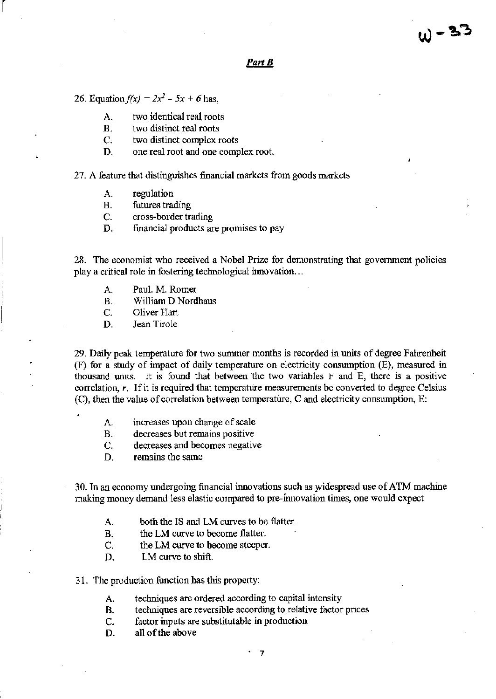#### *PartB*

26. Equation  $f(x) = 2x^2 - 5x + 6$  has,

r

- A. two identical real roots
- B. two distinct real roots
- C. two distinct complex roots
- D. one real root and one complex root.

27. A feature that distinguishes financial markets from goods markets

- A. regulation
- B. futures trading
- C. cross-border trading
- D. financial products are promises to pay

28. The economist who received a Nobel Prize for demonstrating that government policies play a critical role in fostering technological innovation...

- A. Paul. M. Romer
- B. William D Nordhaus
- C. Oliver Hart
- D. Jean Tirole

29. Daily peak temperature for twu swnmer months is recorded in units of degree Fahrenheit (F) for a study of impact of daily temperature on electricity consumption (E), measured in thousand units. It is found that between the two variables F and E, there is a positive correlation, r, If it is required that temperature measurements be converted to degree Celsius (C), then the value of correlation between temperature, C and electricity consumption, E:

- A. increases upon change of scale
- B. decreases but remains positive
- C. decreases and becomes negative
- D. remains the same

30. In an economy undergoing financial innovations such as widespread use of ATM machine making money demand less elastic compared to pre-innovation times, one would expect

- A. both the IS and LM curves to be flatter.
- B. the LM curve to become flatter.
- C. the LM curve to become steeper.
- D. LM curve to shift.
- 31. The production fuoction has this property:
	- A. techniques are ordered according to capital intensity
	- B. techniques are reversible according to relative factor prices
	- C. factor inputs are substitutable in production
	- D. all of the above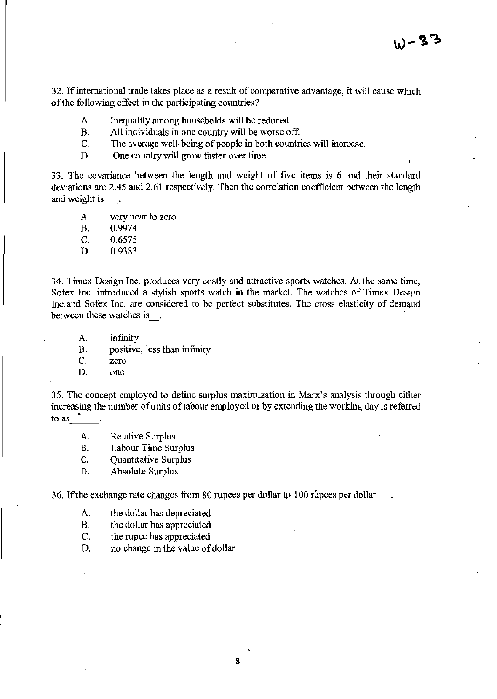32. If international trade takes place as a result of comparative advantage, *it* will cause which of the following effect in the participating countries?

- A. Inequality among households will be reduced.
- B. All individuals in one country will be worse off.
- C. The average well-being of people in both countries will increase.
- D. One country will grow faster over time.

33. The covariance between the length and weight of five items is 6 and their standard deviations are 2.45 and 2.61 respectively. Then the correlation coefficient between the length and weight is\_.

- A. very near to zero.
- B. 0.9974
- C. 0.6575
- D. 0.9383

34. Timex Design Inc. produces very costly and attractive sports watches. At the same time, Sofex Inc. introduced a stylish sports watch in the market. The watches of Timex Design Inc.and Sofex Inc. are considered to be perfect substitutes. The cross elasticity of demand between these watches is .

- A. infinity
- B. positive, less than infinity
- C. zero
- D. one

35. The concept employed to define surplus maximization in Marx's analysis through either increasing the number of units of labour employed or by extending the working day is referred to as \_\_\_\_\_.

- A. Relative Surplus
- B. Labour Time Surplus
- C. Quantitative Surplus
- D. Absolute Surplus

36. If the exchange rate changes from 80 rupees per dollar to 100 rupees per dollar.

- A. the dollar has depreciated
- B. the dollar has appreciated
- C. the rupee has appreciated
- D. no change in the value of dollar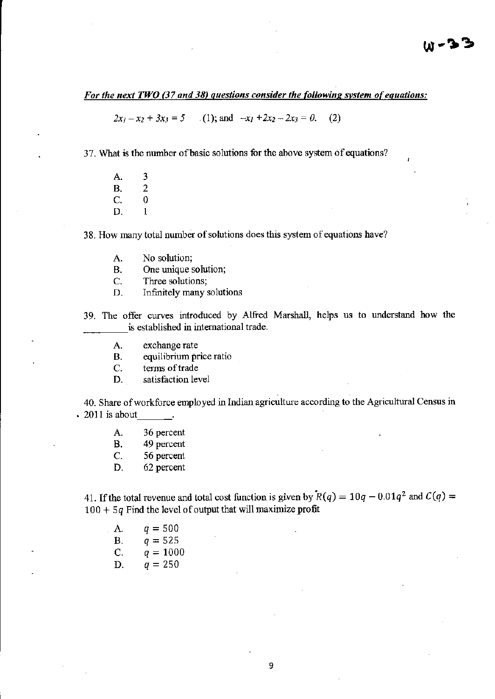# *For the next TWO* (37 *and* 38) *questions consider the following svstem of equations:*

 $2x_1 - x_2 + 3x_3 = 5$  (1); and  $-x_1 + 2x_2 - 2x_3 = 0$ .  $(2)$ 

37. What is the number of basic solutions for the above system of equations?

A. 3<br>B. 2 B. 2<br>C. 0  $\begin{matrix} C. & 0 \\ D. & 1 \end{matrix}$ D.

38. How many total number of solutions does this system of equations have?

- A. No solution;
- B. One unique solution;

C. Three solutions;

- D. Infinitely many solutions
- 39. The offer curves introduced by Alfred Marshall, helps us to understand how the is established in international trade.
	- A. exchange rate

B. equilibrium price ratio

c. terms of trade

D. satisfaction level

40. Share of workforce employed in Indian agriculture according to the Agricultural Census in  $\cdot$  2011 is about

- A. 36 percent
- B. 49 percent
- C. 56 percent
- D. 62 percent

41. If the total revenue and total cost function is given by  $R(q) = 10q - 0.01q^2$  and  $C(q) =$  $100 + 5q$  Find the level of output that will maximize profit

A.  $q = 500$ B.  $q = 525$ C.  $q = 1000$ D.  $q = 250$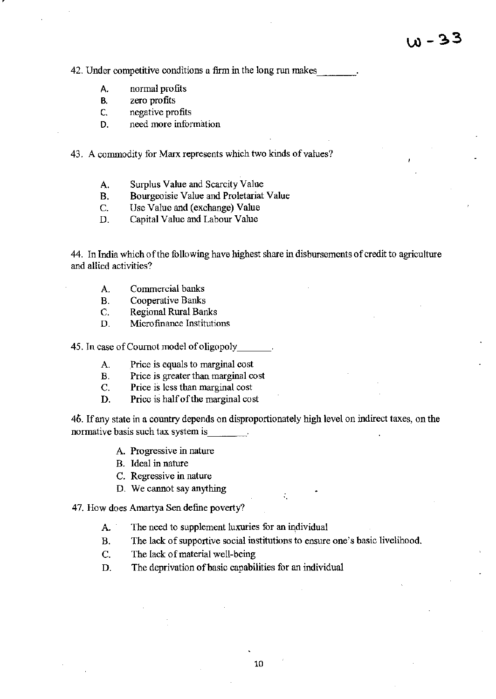42. Under competitive conditions a firm in the long run makes

- A, normal profits
- B. zero profits
- C. negative profits
- D. need more information

43. A commodity for Marx represents which two kinds of values?

- A. Surplus Value and Scarcity Value
- B. Bourgeoisie Value and Proletariat Value
- C. Use Value and (exchange) Value
- D. Capital Value and Labour Value

44. In India which of the following have highest share in disbursements of credit to agriculture and allied activities?

- A. Commercial banks
- B. Cooperative Banks
- C. Regional Rural Banks
- D. Microfinance Institutions

45. In case of Cournot model of oligopoly

- A. Price is equals to marginal cost
- B. Price is greater than marginal cost
- C. Price is less than marginal cost
- D. Price is half of the marginal cost

46. If any state in a country depends on disproportionately high level on indirect taxes, on the normative basis such tax system is

- A. Progressive in nature
- B. Ideal in nature
- C. Regressive in nature
- D. We cannot say anything

### 47. How does Amartya Sen define poverty?

- A. The need to supplement luxuries for an individual
- B. The lack of supportive social institutions to ensure one's basic livelihood.

÷.

- C. The lack of material well-being
- D. The deprivation of basic capabilities for an individual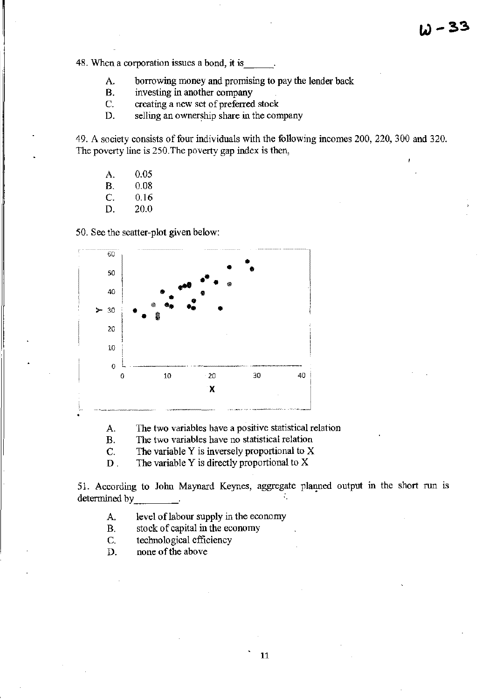48. When a corporation issues a bond, it is

- A. borrowing money and promising to pay the lender back
- B. investing in another company
- C. creating a new set of preferred stock
- D. selling an ownership share in the company

49. A society consists of four individuals with the following incomes 200, 220, 300 and 320. The poverty line is 250.The poverty gap index is then,

- A. 0.05
- B. 0.08
- C. 0.16
- D. 20.0

50. See the scatter-plot given below:



A. The two variables have a positive statistical relation

B. The two variables have no statistical relation

C. The variable Y is inversely proportional to X

D . The variable Y is directly proportional to X

51. According to John Maynard Keynes, aggregate planned output in the short run is determined by \_\_\_\_\_\_\_\_.

A. level of labour supply in the economy

- B. stock of capital in the economy
- C. technological efficiency

D. none of the above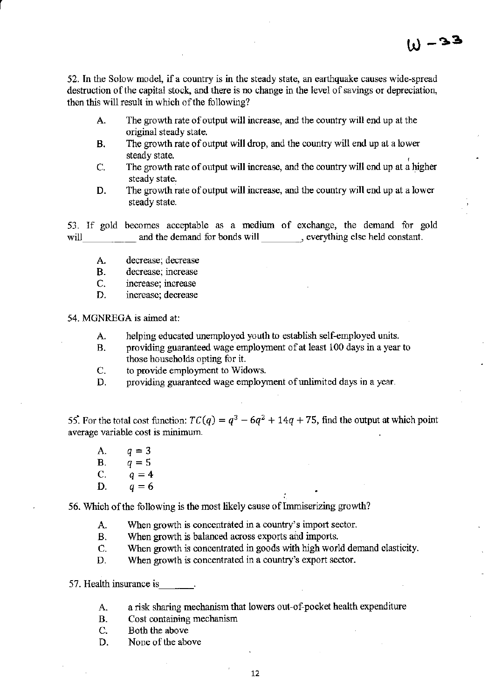52. In the Solow model, if a country is in the steady state, an earthquake causes wide-spread destruction of the capital stock, and there is no change in the level of savings or depreciation, then this will result in which of the following?

- A. The growth rate of output will increase, and the country will end up at the original steady state.
- B. The growth rate of output will drop, and the country will end up at a lower steady state.
- C. The growth rate of output will increase, and the country will end up at a higher steady state.
- D. The growth rate of output will increase, and the country will end up at a lower steady state.

53. If gold becomes acceptable as a medium of exchange, the demand for gold will \_\_\_\_\_\_\_\_ and the demand for bonds will \_\_\_\_\_\_\_, everything else held constant.

- A. decrease; decrease
- B. decrease; increase
- C. mcrease; increase
- D. increase; decrease

54. MGNREGA is aimed at:

r

- A. helping educated unemployed youth to establish self-employed units.
- B. providing guaranteed wage employment of at least 100 days in a year to those households opting for it.
- C. to provide employment to Widows.
- D. providing guaranteed wage employment of unlimited days in a year.

55. For the total cost function:  $TC(q) = q^3 - 6q^2 + 14q + 75$ , find the output at which point average variable cost is minimum.

A.  $q = 3$ <br>B.  $q = 5$ **B.**  $q = 5$ <br>**C.**  $q = 4$  $q=4$ D.  $q=6$ 

56. Which of the following is the most likely cause of Immiserizing growth?

- A. When growth is concentrated in a country's import sector.
- B. When growth is balanced across exports and imports.
- C. When growth is concentrated in goods with high world demand elasticity.
- D. When growth is concentrated in a country's export sector.

57. Health insurance is

- A. a risk sharing mechanism that lowers out-of-pocket health expenditure
- B. Cost containing mechanism
- C. Both the above
- D. None of the above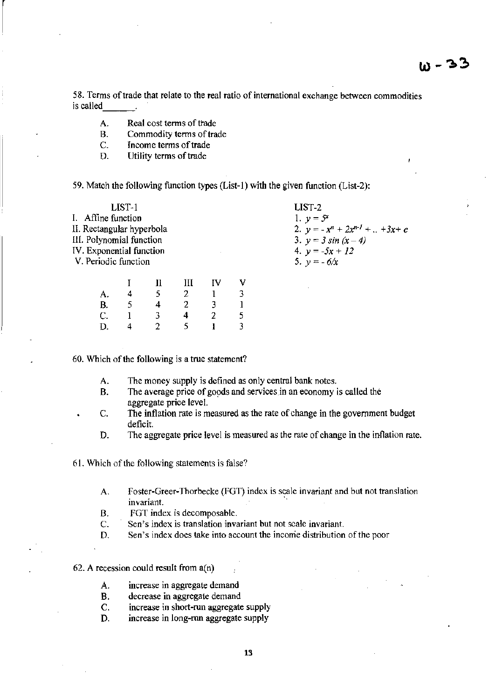58. Terms of trade that relate to the real ratio of international exchange between commodities is called

- A. Real cost terms of trade
- B. Commodity terms of trade<br>C. Income terms of trade
- Income terms of trade

 $\vert$ 

D. Utility terms of trade

59. Match the following function types (List-I) with the given function (List-2);

| LIST-1                                                                                                    |  |  |  |  |  |  | LIST-2                                                                             |               |   |    |   |         |           |  |
|-----------------------------------------------------------------------------------------------------------|--|--|--|--|--|--|------------------------------------------------------------------------------------|---------------|---|----|---|---------|-----------|--|
| I. Affine function                                                                                        |  |  |  |  |  |  | 1. $y = \mathcal{F}$                                                               |               |   |    |   |         |           |  |
| II. Rectangular hyperbola<br>III. Polynomial function<br>IV. Exponential function<br>V. Periodic function |  |  |  |  |  |  | 2. $y = -x^n + 2x^{n-1} +  + 3x + c$<br>3. $y = 3 \sin (x-4)$<br>4. $y = -5x + 12$ |               |   |    |   |         |           |  |
|                                                                                                           |  |  |  |  |  |  |                                                                                    | 5. $y = -6/x$ |   |    |   |         |           |  |
|                                                                                                           |  |  |  |  |  |  |                                                                                    |               |   |    |   | - 111 - | <b>IV</b> |  |
|                                                                                                           |  |  |  |  |  |  |                                                                                    |               | 4 | 5. | 2 |         |           |  |

) 5 3

60. Which of the following is a true statement?

4 3 2

2 4 5

B. C. D. 5 ) 4

A. The money supply is defined as only central bank notes.

3 2

 $\mathbf{I}$ 

- B. The average price of goods and services in an economy is called the aggregate price level.
- C. The inflation rate is measured as the rate of change in the government budget deficit.
- D. The aggregate price level is measured as the rate of change in the inflation rate.

61. Which of the following statements is false?

- A. Foster-Greer-Thorbecke (FGT) index is scale invariant and but not translation invariant.
- B. FGT index is decomposable.
- C. Sen's index is translation invariant but not scale invariant.
- D. Sen's index does take into account the income distribution of the poor

62. A recession could result from  $a(n)$ 

- A. increase in aggregate demand
- B. decrease in aggregate demand
- c. increase in short-run aggregate supply
- D. increase in long-run aggregate supply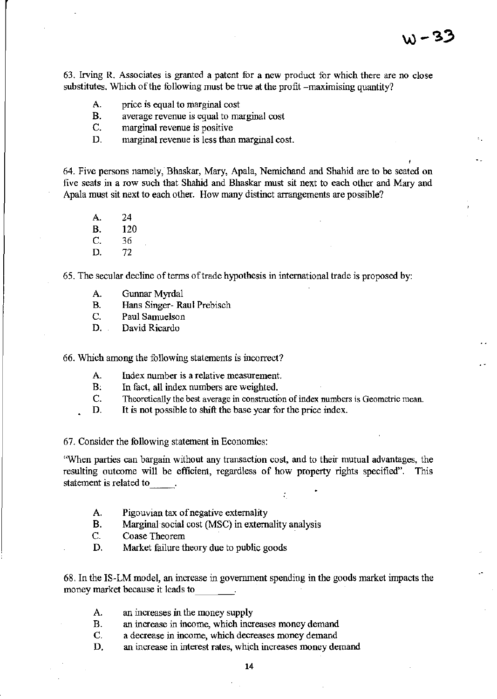63. Irving R. Associates is granted a patent for a new product for which there are no close substitutes. Which of the following must be true at the profit -maximising quantity?

- A. price is equal to marginal cost
- B. average revenue is equal to marginal cost
- C. marginal revenue is positive
- D. marginal revenue is less than marginal cost.

64. Five persons namely, Bhaskar, Mary, Apala, Nemichand and Shahid are to be seated on five seats in a row such that Shahid and Bhaskar must sit next to each other and Mary and Apala must sit next to each other. How many distinct arrangements are possible?

- A. 24 B. 120 C. 36
- D. 72

65. The secular decline of terms of trade hypothesis in international trade is proposed by:

- A. Gunnar Myrdal
- B. Hans Singer- Raul Prebisch
- C. Paul Samuelson
- D. David Ricardo

66. Which among the following statements is incorrect?

- A. Index number is a relative measurement.
- B. In fact, all index numbers are weighted.
- C. Theoretically the best average in construction of index numbers is Geometric mean.
- D. It is not possible to shift the base year for the price index.

67. Consider the following statement in Economics:

'When parties can bargain without any transaction cost, and to their mutual advantages, the resulting outcome will be efficient, regardless of how property rights specified". This statement is related to

÷.

- A. Pigouvian tax of negative externality
- B. Marginal social cost (MSC) in externality analysis
- C. Coase Theorem
- D. Market failure theory due to public goods

68. In the IS-LM model, an increase in govennnent spending in the goods market impacts the money market because it leads to  $\ldots$ 

- A. an increases in the money supply
- B. an increase in income, which increases money demand
- C. a decrease in income, which decreases money demand
- D. an increase in interest rates, which increases money demand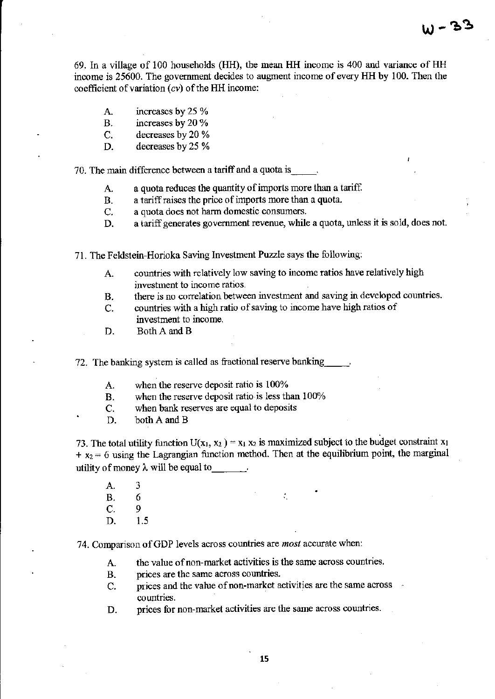69. In a village of 100 households (HH), the mean HH incomc is 400 and variance of HH income is 25600. The government decides to augment income of every HH by 100. Then the coefficient of variation  $(cv)$  of the HH income:

- A. increases by 25 %
- B. increases by 20 %
- C. decreases by 20 %
- D. decreases by 25 %

70. The main difference between a tariff and a quota is  $\overline{A}$ . a quota reduces the quantity of imports is

- a quota reduces the quantity of imports more than a tariff.
- B. a tariff raises the price of imports more than a quota.
- C. a quota does not harm domestic consumers.
- D. a tariff generates government revenue, while a quota, unless it is sold, does not.
- 71. The Feldstein-Horioka Saving Investment Puzzle says the following:
	- A countries with relatively low saving to income ratios have relatively high investment to income ratios.
	- B. there is no correlation between investment and saving in developed countries.
	- C. countries with a high ratio of saving to income have high ratios of investment to income.
	- D. Both A and B

72. The banking system is called as fractional reserve banking

- A when the reserve deposit ratio is 100%
- B. when the reserve deposit ratio is less than 100%
- C. when bank reserves are equal to deposits
- D. both A and B

73. The total utility function  $U(x_1, x_2) = x_1 x_2$  is maximized subject to the budget constraint  $x_1$  $+ x_2 = 6$  using the Lagrangian function method. Then at the equilibrium point, the marginal utility of money  $\lambda$  will be equal to

- A. 3
- B. 6
- C. 9
- D. 1.5

74. Comparison ofGDP levels across countries are *most* accurate when:

- A. the value of non-market activities is the same across countries.
- B. prices are the same across countries.
- C. prices and the value of non-market activities are the same across countries.
- D. prices for non-market activities are the same across countries.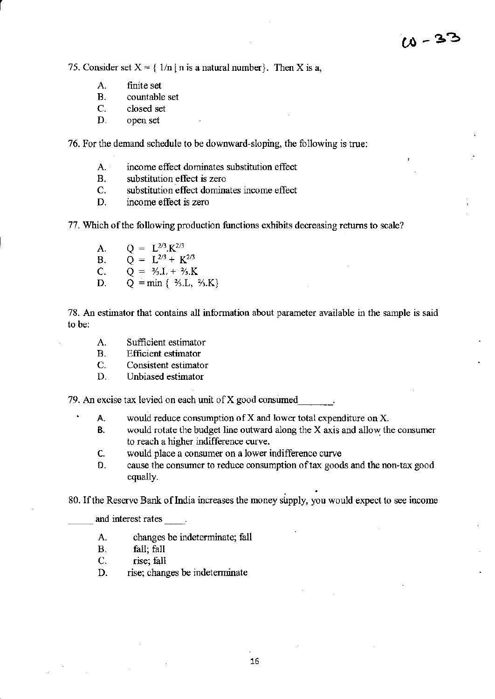75. Consider set  $X = \{ 1/n \mid n \text{ is a natural number} \}$ . Then X is a,

A. finite set<br>B. countable

r

- countable set
- C. closed set
- D. open set

76. For the demand schedule to be downward-sloping, the following is true:

- A. income effect dominates substitution effect
- B. substitution effect is zero
- C. substitution effect dominates income effect
- D. income effect is zero

77. Which of the following production functions exhibits decreasing returns to scale?

- A.  $Q = L^{2/3} \cdot K^{2/3}$ <br>B.  $Q = L^{2/3} + K$
- B.  $\overrightarrow{Q} = \overrightarrow{L}^{2/3} + \overrightarrow{K}^{2/3}$ <br>C.  $\overrightarrow{Q} = \frac{2}{3} L + \frac{2}{3} K$
- C.  $Q = \frac{2}{3}L + \frac{2}{3}K$ <br>D.  $Q = \min \{ \frac{2}{3}L \}$
- $Q = min \{ 3, L, 3, K \}$

78. An estimator that contains all information about parameter available in the sample is said to he:

- A. Sufficient estimator
- B. Efficient estimator
- C. Consistent estimator
- D. Unbiased estimator

79. An excise tax levied on each unit of  $X$  good consumed

- A. would reduce consumption of X and lower total expenditure on X.
- B. would rotate the budget line outward along the X axis and allow: the consumer to reach a higher indifference curve.
- C. would place a consumer on a lower indifference curve
- D. cause the consumer to reduce consumption of tax goods and the non-tax good equally.

80. If the Reserve Bank of India increases the money supply, you would expect to see income

and interest rates

 $\ddot{\phantom{0}}$ 

- A. changes be indeterminate; fall
- B. fall; fall
- C. rise; fall
- D. rise; changes be indeterminate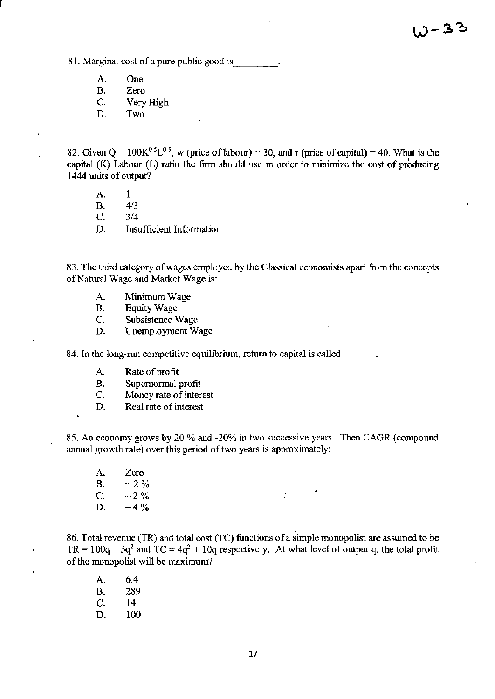81. Marginal cost of a pure public good is

- A. One<br>B. Zero
- B. Zero<br>C. Verv
- C. Very High<br>D. Two
- Two.

82. Given  $Q = 100K^{0.5}L^{0.5}$ , w (price of labour) = 30, and r (price of capital) = 40. What is the capital (K) Labour (L) ratio the firm should use in order to minimize the cost of producing 1444 units of output?

- A. I
- B. 4/3

C. 3/4

D. Insufficient Information

83. The third category of wages employed by the Classical economists apart from the concepts of Natural Wage and Market Wage is:

- A. Minimum Wage
- B. Equity Wage
- C. Subsistence Wage
- D. Unemployment Wage

84. In the long-run competitive equilibrium, return to capital is called

- A. Rate of profit
- B. Supernormal profit
- C. Money rate of interest
- D. Real rate of interest

85. An economy grows by 20 % and -20% in two successive years. Then CAGR (compound annual growth rate) over this period of two years is approximately:

A. Zero **B.**  $+2\%$ c.  $-2\%$ D.  $-4\%$ 

86. Total revenue (TR) and total cost (TC) functions of a simple monopolist are assumed to be TR =  $100q - 3q^2$  and TC =  $4q^2 + 10q$  respectively. At what level of output q, the total profit of the monopolist will be maximum?

'.

A. 6.4 B. 289 C. 14 D. 100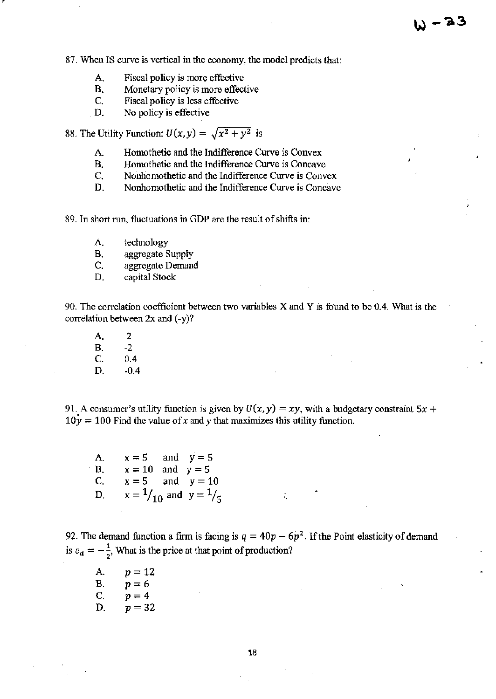87. When IS curve is vertical in the economy, the model predicts that:

- A. Fiscal policy is more effective<br>B. Monetary policy is more effect
- Monetary policy is more effective
- C. Fiscal policy is less effective
- D. No policy is effective

88. The Utility Function:  $U(x, y) = \sqrt{x^2 + y^2}$  is

- A. Homothetic and the Indifference Curve is Convex
- B. Homothetic and the Indifference Curve is Concave<br>C. Nonhomothetic and the Indifference Curve is Conv
- Nonhomothetic and the Indifference Curve is Convex
- D. Nonhomothetic and the Indifference Curve is Concave

89. In short run, fluctuations in GDP are the result of shifts in:

- A. technology
- B. aggregate Supply<br>C. aggregate Deman
- aggregate Demand
- D. capital Stock

90. The correlation coefficient between two variables  $X$  and  $Y$  is found to be 0.4. What is the correlation between 2x and (-y)?

A. 2  $B. 2$ C. 0.4 D. -0.4

91. A consumer's utility function is given by  $U(x, y) = xy$ , with a budgetary constraint  $5x +$  $10y = 100$  Find the value of x and y that maximizes this utility function.

A.  $x = 5$  and  $y = 5$  $B.$   $x = 10$  and  $y = 5$ C.  $x = 5$  and  $y = 10$ D.  $x = \frac{1}{10}$  and  $y = \frac{1}{5}$ 

92. The demand function a firm is facing is  $q = 40p - 6p^2$ . If the Point elasticity of demand is  $e_d = -\frac{1}{2}$ , What is the price at that point of production?

 $\mathcal{L}_\mathrm{c}$ 

A.  $p = 12$ B.  $p=6$ C.  $p = 4$ D.  $p = 32$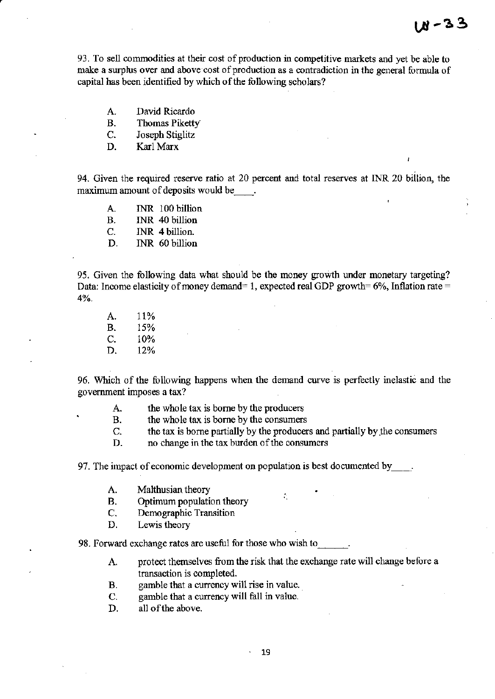93. To sell commodities at their cost of production in competitive markets and yet be able to make a surplus over and above cost of production as a contradiction in the general formula of capital has been identified by which of the following scholars?

- A. David Ricardo<br>B. Thomas Piketty
- Thomas Piketty
- C. Joseph Stiglitz
- D. Karl Marx

94. Given the required reserve ratio at 20 percent and total reserves at INR 20 billion, the maximum amount of deposits would be  $\qquad$ .

- A. INR 100 billion
- B. INR 40 billion
- C. INR 4 billion.
- D. INR 60 billion

95. Given the following data what should be the money growth under monetary targeting? Data: Income elasticity of money demand= 1, expected real GDP growth=  $6\%$ , Inflation rate = 4%.

A. 11% B. 15% C. 10% D. 12%

96. Which of the following happens when the demand curve is perfectly inelastic and the government imposes a tax?

- A. the whole tax is borne by the producers
- B. the whole tax is borne by the consumers
- C. the tax is borne partially by the producers and partially by .the consumers

÷,

D. no change in the tax burden of the consumers

97. The impact of economic development on population is best documented by  $\qquad$ .

- A. Malthusian theory
- B. Optimum population theory
- C. Demographic Transition
- D. Lewis theory

98. Forward exchange rates are useful for those who wish to.

- A. protect themselves from the risk that the exchange rate will change before a transaction is completed.
- B. gamble that a currency will rise in value.
- C. gamble that a currency will fall in value.
- D. all of the above.